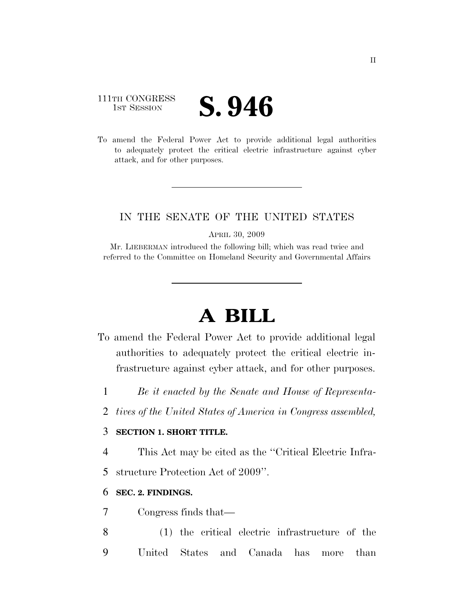### 111TH CONGRESS **IST SESSION S. 946**

To amend the Federal Power Act to provide additional legal authorities to adequately protect the critical electric infrastructure against cyber attack, and for other purposes.

#### IN THE SENATE OF THE UNITED STATES

APRIL 30, 2009

Mr. LIEBERMAN introduced the following bill; which was read twice and referred to the Committee on Homeland Security and Governmental Affairs

# **A BILL**

- To amend the Federal Power Act to provide additional legal authorities to adequately protect the critical electric infrastructure against cyber attack, and for other purposes.
	- 1 *Be it enacted by the Senate and House of Representa-*
	- 2 *tives of the United States of America in Congress assembled,*

#### 3 **SECTION 1. SHORT TITLE.**

4 This Act may be cited as the ''Critical Electric Infra-

5 structure Protection Act of 2009''.

#### 6 **SEC. 2. FINDINGS.**

7 Congress finds that—

8 (1) the critical electric infrastructure of the 9 United States and Canada has more than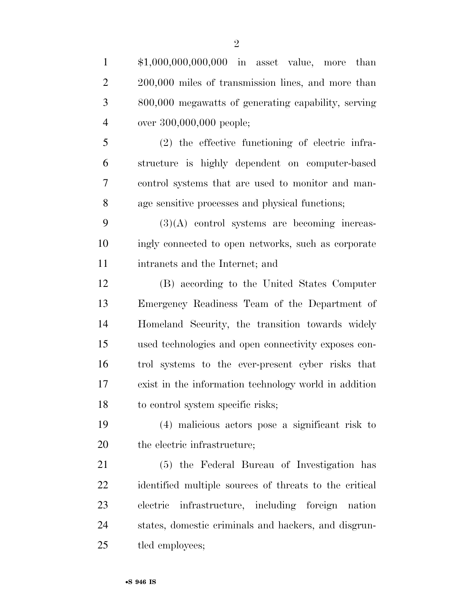| $\mathbf{1}$   | $$1,000,000,000,000$ in asset value, more than         |
|----------------|--------------------------------------------------------|
| $\overline{2}$ | 200,000 miles of transmission lines, and more than     |
| 3              | 800,000 megawatts of generating capability, serving    |
| $\overline{4}$ | over 300,000,000 people;                               |
| 5              | $(2)$ the effective functioning of electric infra-     |
| 6              | structure is highly dependent on computer-based        |
| 7              | control systems that are used to monitor and man-      |
| 8              | age sensitive processes and physical functions;        |
| 9              | $(3)(A)$ control systems are becoming increas-         |
| 10             | ingly connected to open networks, such as corporate    |
| 11             | intranets and the Internet; and                        |
| 12             | (B) according to the United States Computer            |
| 13             | Emergency Readiness Team of the Department of          |
| 14             | Homeland Security, the transition towards widely       |
| 15             | used technologies and open connectivity exposes con-   |
| 16             | trol systems to the ever-present cyber risks that      |
| 17             | exist in the information technology world in addition  |
| 18             | to control system specific risks;                      |
| 19             | (4) malicious actors pose a significant risk to        |
| 20             | the electric infrastructure;                           |
| 21             | (5) the Federal Bureau of Investigation has            |
| 22             | identified multiple sources of threats to the critical |
| 23             | infrastructure, including foreign nation<br>electric   |
| 24             | states, domestic criminals and hackers, and disgrun-   |
| 25             | tled employees;                                        |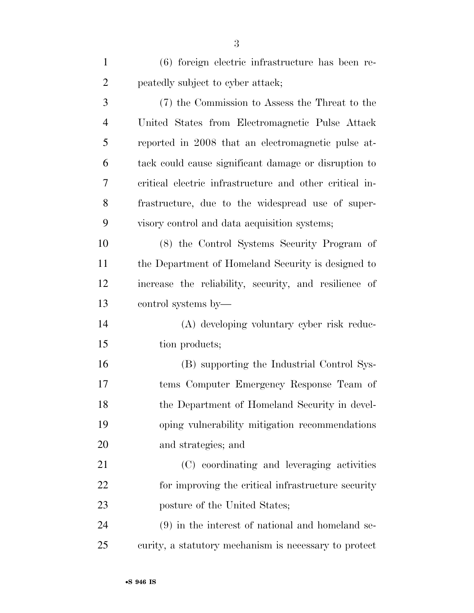(6) foreign electric infrastructure has been re-peatedly subject to cyber attack;

 (7) the Commission to Assess the Threat to the United States from Electromagnetic Pulse Attack reported in 2008 that an electromagnetic pulse at- tack could cause significant damage or disruption to critical electric infrastructure and other critical in- frastructure, due to the widespread use of super-visory control and data acquisition systems;

 (8) the Control Systems Security Program of the Department of Homeland Security is designed to increase the reliability, security, and resilience of control systems by—

 (A) developing voluntary cyber risk reduc-15 tion products;

 (B) supporting the Industrial Control Sys- tems Computer Emergency Response Team of the Department of Homeland Security in devel- oping vulnerability mitigation recommendations and strategies; and

 (C) coordinating and leveraging activities 22 for improving the critical infrastructure security posture of the United States;

 (9) in the interest of national and homeland se-curity, a statutory mechanism is necessary to protect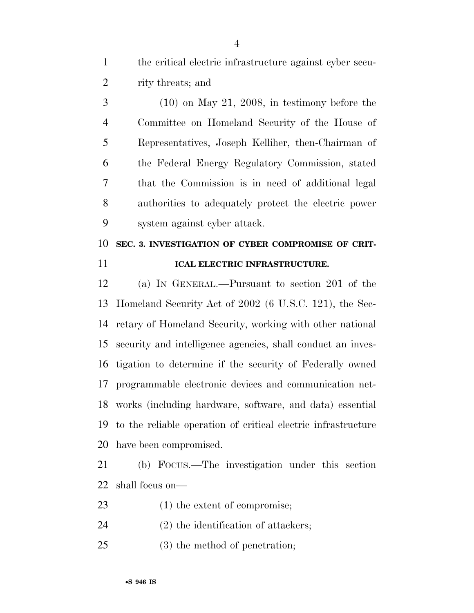the critical electric infrastructure against cyber secu-rity threats; and

 (10) on May 21, 2008, in testimony before the Committee on Homeland Security of the House of Representatives, Joseph Kelliher, then-Chairman of the Federal Energy Regulatory Commission, stated that the Commission is in need of additional legal authorities to adequately protect the electric power system against cyber attack.

## **SEC. 3. INVESTIGATION OF CYBER COMPROMISE OF CRIT-ICAL ELECTRIC INFRASTRUCTURE.**

 (a) IN GENERAL.—Pursuant to section 201 of the Homeland Security Act of 2002 (6 U.S.C. 121), the Sec- retary of Homeland Security, working with other national security and intelligence agencies, shall conduct an inves- tigation to determine if the security of Federally owned programmable electronic devices and communication net- works (including hardware, software, and data) essential to the reliable operation of critical electric infrastructure have been compromised.

 (b) FOCUS.—The investigation under this section shall focus on—

- 23 (1) the extent of compromise;
- (2) the identification of attackers;
- (3) the method of penetration;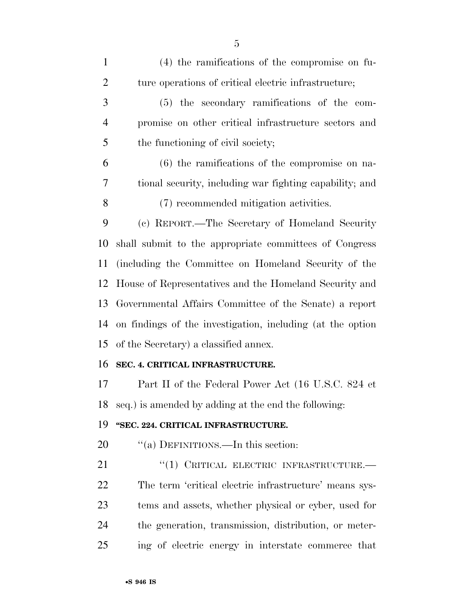| $\mathbf{1}$   | $(4)$ the ramifications of the compromise on fu-           |
|----------------|------------------------------------------------------------|
| $\overline{2}$ | ture operations of critical electric infrastructure;       |
| 3              | (5) the secondary ramifications of the com-                |
| $\overline{4}$ | promise on other critical infrastructure sectors and       |
| 5              | the functioning of civil society;                          |
| 6              | $(6)$ the ramifications of the compromise on na-           |
| 7              | tional security, including war fighting capability; and    |
| 8              | (7) recommended mitigation activities.                     |
| 9              | (c) REPORT.—The Secretary of Homeland Security             |
| 10             | shall submit to the appropriate committees of Congress     |
| 11             | (including the Committee on Homeland Security of the       |
| 12             | House of Representatives and the Homeland Security and     |
| 13             | Governmental Affairs Committee of the Senate) a report     |
| 14             | on findings of the investigation, including (at the option |
| 15             | of the Secretary) a classified annex.                      |
| 16             | SEC. 4. CRITICAL INFRASTRUCTURE.                           |
| 17             | Part II of the Federal Power Act (16 U.S.C. 824 et         |
|                | 18 seq.) is amended by adding at the end the following:    |
| 19             | "SEC. 224. CRITICAL INFRASTRUCTURE.                        |
| 20             | "(a) DEFINITIONS.—In this section:                         |
| 21             | "(1) CRITICAL ELECTRIC INFRASTRUCTURE.-                    |
| <u>22</u>      | The term 'critical electric infrastructure' means sys-     |
| 23             | tems and assets, whether physical or cyber, used for       |
| 24             | the generation, transmission, distribution, or meter-      |
| 25             | ing of electric energy in interstate commerce that         |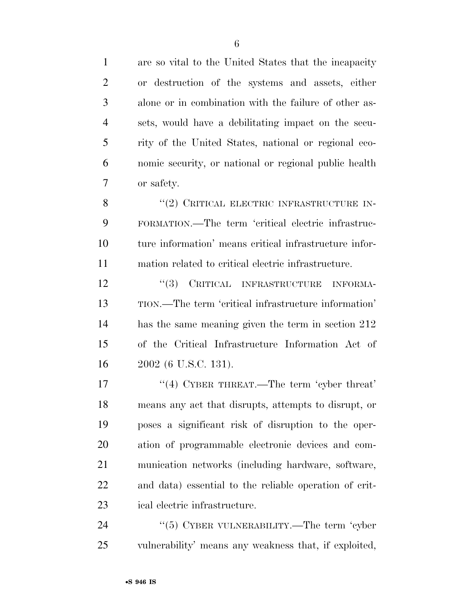| $\mathbf{1}$   | are so vital to the United States that the incapacity  |
|----------------|--------------------------------------------------------|
| $\overline{2}$ | or destruction of the systems and assets, either       |
| 3              | alone or in combination with the failure of other as-  |
| $\overline{4}$ | sets, would have a debilitating impact on the secu-    |
| 5              | rity of the United States, national or regional eco-   |
| 6              | nomic security, or national or regional public health  |
| 7              | or safety.                                             |
| 8              | "(2) CRITICAL ELECTRIC INFRASTRUCTURE IN-              |
| 9              | FORMATION.—The term 'critical electric infrastruc-     |
| 10             | ture information' means critical infrastructure infor- |
| 11             | mation related to critical electric infrastructure.    |
| 12             | "(3) CRITICAL INFRASTRUCTURE<br><b>INFORMA-</b>        |
| 13             | TION.—The term 'critical infrastructure information'   |
| 14             | has the same meaning given the term in section 212     |
| 15             | of the Critical Infrastructure Information Act of      |
| 16             | 2002 (6 U.S.C. 131).                                   |
| 17             | "(4) CYBER THREAT.—The term 'cyber threat'             |
| 18             | means any act that disrupts, attempts to disrupt, or   |
| 19             | poses a significant risk of disruption to the oper-    |
| 20             | ation of programmable electronic devices and com-      |
| 21             | munication networks (including hardware, software,     |
| 22             | and data) essential to the reliable operation of crit- |
| 23             | ical electric infrastructure.                          |
| 24             | " $(5)$ CYBER VULNERABILITY.—The term 'cyber           |

vulnerability' means any weakness that, if exploited,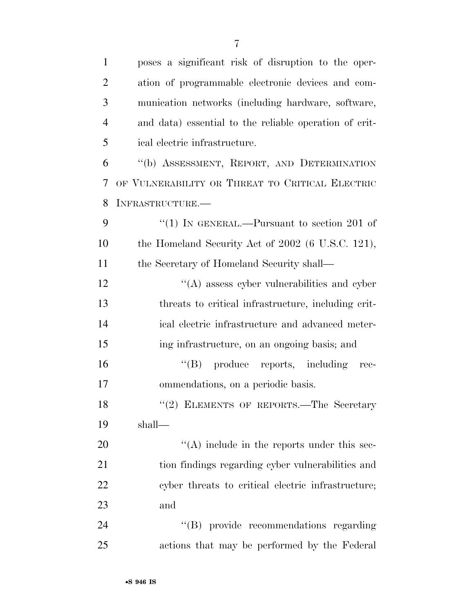| 1              | poses a significant risk of disruption to the oper-    |
|----------------|--------------------------------------------------------|
| $\overline{2}$ | ation of programmable electronic devices and com-      |
| 3              | munication networks (including hardware, software,     |
| 4              | and data) essential to the reliable operation of crit- |
| 5              | ical electric infrastructure.                          |
| 6              | "(b) ASSESSMENT, REPORT, AND DETERMINATION             |
| 7              | OF VULNERABILITY OR THREAT TO CRITICAL ELECTRIC        |
| 8              | INFRASTRUCTURE.-                                       |
| 9              | "(1) IN GENERAL.—Pursuant to section 201 of            |
| 10             | the Homeland Security Act of 2002 (6 U.S.C. 121),      |
| 11             | the Secretary of Homeland Security shall—              |
| 12             | $\lq\lq$ assess cyber vulnerabilities and cyber        |
| 13             | threats to critical infrastructure, including crit-    |
| 14             | ical electric infrastructure and advanced meter-       |
| 15             | ing infrastructure, on an ongoing basis; and           |
| 16             | $\lq\lq (B)$ produce reports, including rec-           |
| 17             | ommendations, on a periodic basis.                     |
| 18             | "(2) ELEMENTS OF REPORTS.—The Secretary                |
| 19             | shall—                                                 |
| 20             | $\lq\lq$ include in the reports under this sec-        |
| 21             | tion findings regarding cyber vulnerabilities and      |
| 22             | cyber threats to critical electric infrastructure;     |
| 23             | and                                                    |
| 24             | "(B) provide recommendations regarding                 |
| 25             | actions that may be performed by the Federal           |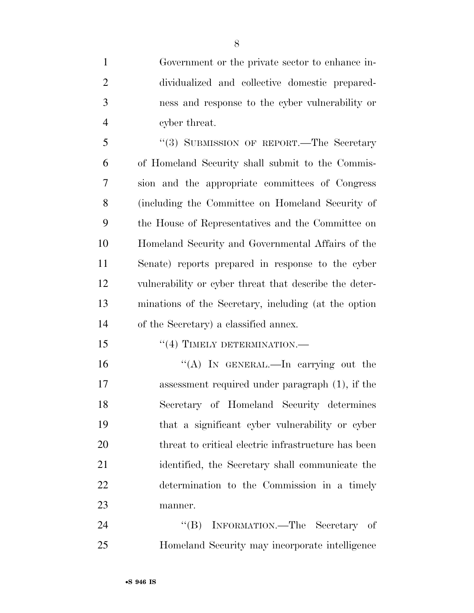Government or the private sector to enhance in- dividualized and collective domestic prepared- ness and response to the cyber vulnerability or cyber threat.

5 "(3) SUBMISSION OF REPORT.—The Secretary of Homeland Security shall submit to the Commis- sion and the appropriate committees of Congress (including the Committee on Homeland Security of the House of Representatives and the Committee on Homeland Security and Governmental Affairs of the Senate) reports prepared in response to the cyber vulnerability or cyber threat that describe the deter- minations of the Secretary, including (at the option of the Secretary) a classified annex.

15 "(4) TIMELY DETERMINATION.—

 ''(A) IN GENERAL.—In carrying out the assessment required under paragraph (1), if the Secretary of Homeland Security determines that a significant cyber vulnerability or cyber threat to critical electric infrastructure has been identified, the Secretary shall communicate the determination to the Commission in a timely manner.

24 "(B) INFORMATION.—The Secretary of Homeland Security may incorporate intelligence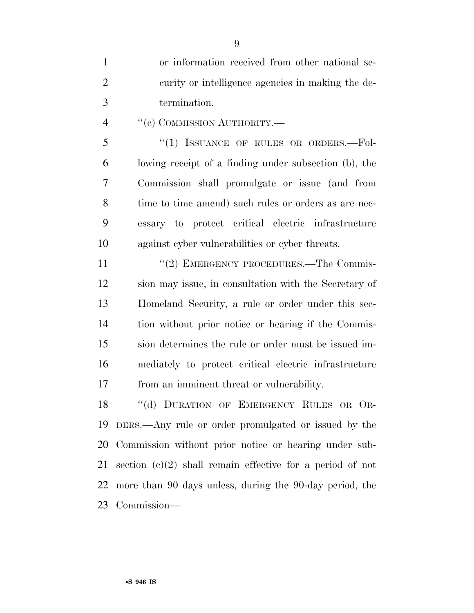or information received from other national se- curity or intelligence agencies in making the de-termination.

4 "(c) COMMISSION AUTHORITY.—

5 "(1) ISSUANCE OF RULES OR ORDERS.--Fol- lowing receipt of a finding under subsection (b), the Commission shall promulgate or issue (and from 8 time to time amend) such rules or orders as are nec- essary to protect critical electric infrastructure against cyber vulnerabilities or cyber threats.

11 "(2) EMERGENCY PROCEDURES.—The Commis- sion may issue, in consultation with the Secretary of Homeland Security, a rule or order under this sec- tion without prior notice or hearing if the Commis- sion determines the rule or order must be issued im- mediately to protect critical electric infrastructure from an imminent threat or vulnerability.

18 "(d) DURATION OF EMERGENCY RULES OR OR- DERS.—Any rule or order promulgated or issued by the Commission without prior notice or hearing under sub- section (c)(2) shall remain effective for a period of not more than 90 days unless, during the 90-day period, the Commission—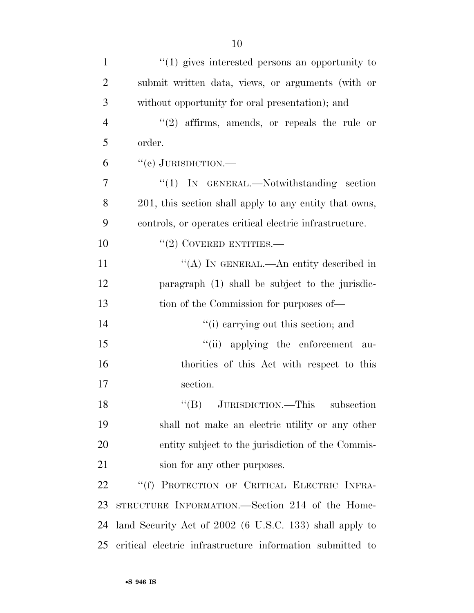| $\mathbf{1}$   | $\cdot\cdot\cdot(1)$ gives interested persons an opportunity to |
|----------------|-----------------------------------------------------------------|
| $\overline{2}$ | submit written data, views, or arguments (with or               |
| 3              | without opportunity for oral presentation); and                 |
| $\overline{4}$ | $(2)$ affirms, amends, or repeals the rule or                   |
| 5              | order.                                                          |
| 6              | "(e) JURISDICTION.—                                             |
| 7              | " $(1)$ IN GENERAL.—Notwithstanding section                     |
| 8              | 201, this section shall apply to any entity that owns,          |
| 9              | controls, or operates critical electric infrastructure.         |
| 10             | $``(2)$ COVERED ENTITIES.—                                      |
| 11             | "(A) IN GENERAL.—An entity described in                         |
| 12             | paragraph (1) shall be subject to the jurisdic-                 |
| 13             | tion of the Commission for purposes of—                         |
| 14             | "(i) carrying out this section; and                             |
| 15             | "(ii) applying the enforcement au-                              |
| 16             | thorities of this Act with respect to this                      |
| 17             | section.                                                        |
| 18             | "(B) JURISDICTION.—This subsection                              |
| 19             | shall not make an electric utility or any other                 |
| 20             | entity subject to the jurisdiction of the Commis-               |
| 21             | sion for any other purposes.                                    |
| 22             | "(f) PROTECTION OF CRITICAL ELECTRIC INFRA-                     |
| 23             | STRUCTURE INFORMATION.—Section 214 of the Home-                 |
| 24             | land Security Act of 2002 (6 U.S.C. 133) shall apply to         |
| 25             | critical electric infrastructure information submitted to       |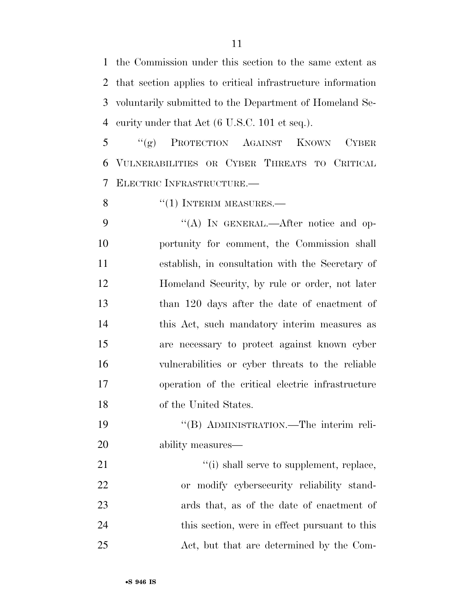the Commission under this section to the same extent as that section applies to critical infrastructure information voluntarily submitted to the Department of Homeland Se-curity under that Act (6 U.S.C. 101 et seq.).

 ''(g) PROTECTION AGAINST KNOWN CYBER VULNERABILITIES OR CYBER THREATS TO CRITICAL ELECTRIC INFRASTRUCTURE.—

8 "(1) INTERIM MEASURES.

9 "(A) In GENERAL.—After notice and op- portunity for comment, the Commission shall establish, in consultation with the Secretary of Homeland Security, by rule or order, not later than 120 days after the date of enactment of this Act, such mandatory interim measures as are necessary to protect against known cyber vulnerabilities or cyber threats to the reliable operation of the critical electric infrastructure of the United States.

 ''(B) ADMINISTRATION.—The interim reli-ability measures—

 $\frac{1}{2}$   $\frac{1}{2}$   $\frac{1}{2}$  shall serve to supplement, replace, or modify cybersecurity reliability stand- ards that, as of the date of enactment of this section, were in effect pursuant to this Act, but that are determined by the Com-